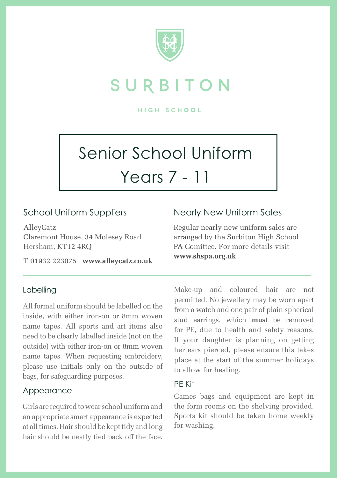

## SURBITON

**HIGH SCHOOL** 

# Senior School Uniform Years 7 - 11

## School Uniform Suppliers

AlleyCatz Claremont House, 34 Molesey Road Hersham, KT12 4RQ

T 01932 223075 **www.alleycatz.co.uk**

#### Labelling

All formal uniform should be labelled on the inside, with either iron-on or 8mm woven name tapes. All sports and art items also need to be clearly labelled inside (not on the outside) with either iron-on or 8mm woven name tapes. When requesting embroidery, please use initials only on the outside of bags, for safeguarding purposes.

#### Appearance

Girls are required to wear school uniform and an appropriate smart appearance is expected at all times. Hair should be kept tidy and long hair should be neatly tied back off the face.

### Nearly New Uniform Sales

Regular nearly new uniform sales are arranged by the Surbiton High School PA Comittee. For more details visit **www.shspa.org.uk**

Make-up and coloured hair are not permitted. No jewellery may be worn apart from a watch and one pair of plain spherical stud earrings, which **must** be removed for PE, due to health and safety reasons. If your daughter is planning on getting her ears pierced, please ensure this takes place at the start of the summer holidays to allow for healing.

#### PE Kit

Games bags and equipment are kept in the form rooms on the shelving provided. Sports kit should be taken home weekly for washing.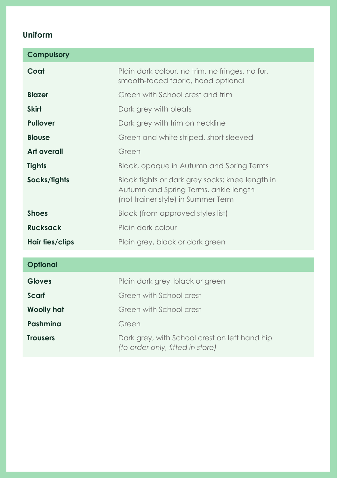## **Uniform**

| <b>Compulsory</b>  |                                                                                                                                |
|--------------------|--------------------------------------------------------------------------------------------------------------------------------|
| Coat               | Plain dark colour, no trim, no fringes, no fur,<br>smooth-faced fabric, hood optional                                          |
| <b>Blazer</b>      | Green with School crest and trim                                                                                               |
| <b>Skirt</b>       | Dark grey with pleats                                                                                                          |
| <b>Pullover</b>    | Dark grey with trim on neckline                                                                                                |
| <b>Blouse</b>      | Green and white striped, short sleeved                                                                                         |
| <b>Art overall</b> | Green                                                                                                                          |
| <b>Tights</b>      | Black, opaque in Autumn and Spring Terms                                                                                       |
| Socks/tights       | Black tights or dark grey socks; knee length in<br>Autumn and Spring Terms, ankle length<br>(not trainer style) in Summer Term |
| <b>Shoes</b>       | Black (from approved styles list)                                                                                              |
| <b>Rucksack</b>    | Plain dark colour                                                                                                              |
| Hair ties/clips    | Plain grey, black or dark green                                                                                                |
| <b>Optional</b>    |                                                                                                                                |
|                    |                                                                                                                                |
| <b>Gloves</b>      | Plain dark grey, black or green                                                                                                |
| Scarf              | Green with School crest                                                                                                        |
| <b>Woolly hat</b>  | Green with School crest                                                                                                        |
| Pashmina           | Green                                                                                                                          |
| <b>Trousers</b>    | Dark grey, with School crest on left hand hip<br>(to order only, fitted in store)                                              |